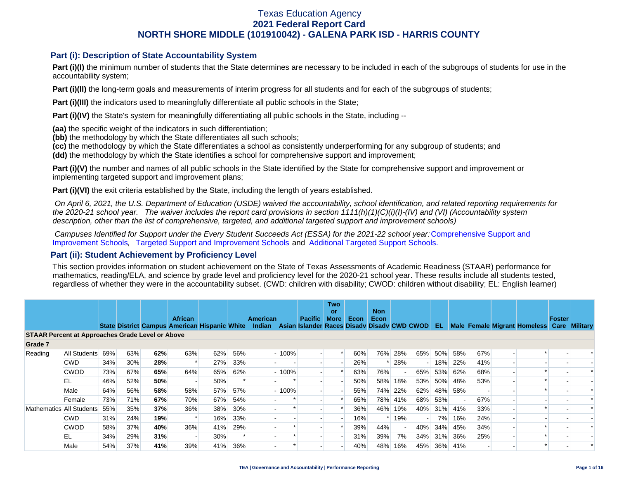### **Part (i): Description of State Accountability System**

Part (i)(I) the minimum number of students that the State determines are necessary to be included in each of the subgroups of students for use in the accountability system;

**Part (i)(II)** the long-term goals and measurements of interim progress for all students and for each of the subgroups of students;

**Part (i)(III)** the indicators used to meaningfully differentiate all public schools in the State;

**Part (i)(IV)** the State's system for meaningfully differentiating all public schools in the State, including --

**(aa)** the specific weight of the indicators in such differentiation;

**(bb)** the methodology by which the State differentiates all such schools;

**(cc)** the methodology by which the State differentiates a school as consistently underperforming for any subgroup of students; and

**(dd)** the methodology by which the State identifies a school for comprehensive support and improvement;

**Part (i)(V)** the number and names of all public schools in the State identified by the State for comprehensive support and improvement or implementing targeted support and improvement plans;

**Part (i)(VI)** the exit criteria established by the State, including the length of years established.

 *On April 6, 2021, the U.S. Department of Education (USDE) waived the accountability, school identification, and related reporting requirements for the 2020-21 school year. The waiver includes the report card provisions in section 1111(h)(1)(C)(i)(I)-(IV) and (VI) (Accountability system description, other than the list of comprehensive, targeted, and additional targeted support and improvement schools)* 

*Campuses Identified for Support under the Every Student Succeeds Act (ESSA) for the 2021-22 school year:* [Comprehensive Support and](https://tea.texas.gov/sites/default/files/comprehensive_support_2021.xlsx) [Improvement Schools](https://tea.texas.gov/sites/default/files/comprehensive_support_2021.xlsx), [Targeted Support and Improvement Schools](https://tea.texas.gov/sites/default/files/targeted_support_2021.xlsx) and [Additional Targeted Support Schools.](https://tea.texas.gov/sites/default/files/additional_targeted_support_2021.xlsx)

### **Part (ii): Student Achievement by Proficiency Level**

This section provides information on student achievement on the State of Texas Assessments of Academic Readiness (STAAR) performance for mathematics, reading/ELA, and science by grade level and proficiency level for the 2020-21 school year. These results include all students tested, regardless of whether they were in the accountability subset. (CWD: children with disability; CWOD: children without disability; EL: English learner)

|                                                         |              |     |     |     | <b>African</b>                                       |     |     | <b>American</b> |         | <b>Pacific</b>                              | <b>Two</b><br>or<br><b>More</b> | Econ | <b>Non</b><br>Econ |         |     |     |         |     |                              | Foster |                 |
|---------------------------------------------------------|--------------|-----|-----|-----|------------------------------------------------------|-----|-----|-----------------|---------|---------------------------------------------|---------------------------------|------|--------------------|---------|-----|-----|---------|-----|------------------------------|--------|-----------------|
|                                                         |              |     |     |     | <b>State District Campus American Hispanic White</b> |     |     | Indian          |         | Asian Islander Races Disady Disady CWD CWOD |                                 |      |                    |         |     | EL  |         |     | Male Female Migrant Homeless | Care   | <b>Military</b> |
| <b>STAAR Percent at Approaches Grade Level or Above</b> |              |     |     |     |                                                      |     |     |                 |         |                                             |                                 |      |                    |         |     |     |         |     |                              |        |                 |
| Grade 7                                                 |              |     |     |     |                                                      |     |     |                 |         |                                             |                                 |      |                    |         |     |     |         |     |                              |        |                 |
| Reading                                                 | All Students | 69% | 63% | 62% | 63%                                                  | 62% | 56% |                 | $-100%$ |                                             |                                 | 60%  | 76%                | 28%     | 65% | 50% | 58%     | 67% |                              |        |                 |
|                                                         | <b>CWD</b>   | 34% | 30% | 28% | $\ast$                                               | 27% | 33% |                 |         |                                             |                                 | 26%  |                    | 28%     |     | 18% | 22%     | 41% |                              |        |                 |
|                                                         | <b>CWOD</b>  | 73% | 67% | 65% | 64%                                                  | 65% | 62% |                 | $-100%$ |                                             |                                 | 63%  | 76%                |         | 65% |     | 53% 62% | 68% |                              |        |                 |
|                                                         | EL           | 46% | 52% | 50% | $\overline{\phantom{a}}$                             | 50% |     |                 |         |                                             |                                 | 50%  | 58%                | 18%     | 53% | 50% | 48%     | 53% |                              |        |                 |
|                                                         | Male         | 64% | 56% | 58% | 58%                                                  | 57% | 57% |                 | $-100%$ |                                             |                                 | 55%  | 74%                | 22%     | 62% | 48% | 58%     |     |                              |        |                 |
|                                                         | Female       | 73% | 71% | 67% | 70%                                                  | 67% | 54% |                 |         |                                             |                                 | 65%  |                    | 78% 41% | 68% | 53% |         | 67% |                              |        |                 |
| Mathematics All Students                                |              | 55% | 35% | 37% | 36%                                                  | 38% | 30% |                 |         |                                             |                                 | 36%  | 46%                | 19%     | 40% | 31% | 41%     | 33% |                              |        |                 |
|                                                         | <b>CWD</b>   | 31% | 24% | 19% | $\ast$                                               | 16% | 33% |                 |         |                                             |                                 | 16%  |                    | 19%     |     | 7%  | 16%     | 24% |                              |        |                 |
|                                                         | <b>CWOD</b>  | 58% | 37% | 40% | 36%                                                  | 41% | 29% |                 |         |                                             |                                 | 39%  | 44%                |         | 40% |     | 34% 45% | 34% |                              |        |                 |
|                                                         | EL           | 34% | 29% | 31% | $\overline{\phantom{a}}$                             | 30% |     |                 |         |                                             |                                 | 31%  | 39%                | 7%      | 34% | 31% | 36%     | 25% |                              |        |                 |
|                                                         | Male         | 54% | 37% | 41% | 39%                                                  | 41% | 36% |                 |         |                                             |                                 | 40%  | 48%                | 16%     | 45% |     | 36% 41% |     |                              |        |                 |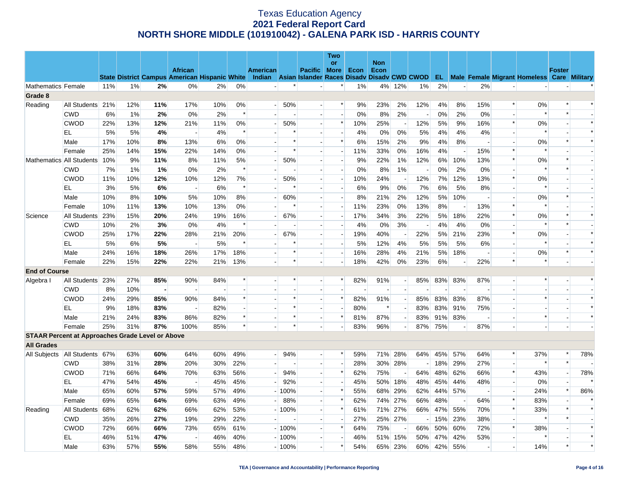|                      |                                                         |     |     |                |                          |     |        |                                                                                                  |             |                             | Two                      |                          |                          |       |                          |     |                          |                |                          |                                                      |                          |        |
|----------------------|---------------------------------------------------------|-----|-----|----------------|--------------------------|-----|--------|--------------------------------------------------------------------------------------------------|-------------|-----------------------------|--------------------------|--------------------------|--------------------------|-------|--------------------------|-----|--------------------------|----------------|--------------------------|------------------------------------------------------|--------------------------|--------|
|                      |                                                         |     |     |                | <b>African</b>           |     |        | <b>American</b>                                                                                  |             | <b>Pacific More</b>         | or                       | Econ                     | <b>Non</b><br>Econ       |       |                          |     |                          |                |                          |                                                      | <b>Foster</b>            |        |
|                      |                                                         |     |     |                |                          |     |        | State District Campus American Hispanic White Indian Asian Islander Races Disady Disady CWD CWOD |             |                             |                          |                          |                          |       |                          |     |                          |                |                          | <b>EL</b> Male Female Migrant Homeless Care Military |                          |        |
| Mathematics Female   |                                                         | 11% | 1%  | 2%             | $0\%$                    | 2%  | 0%     | $\overline{\phantom{a}}$                                                                         | $\ast$      | $\overline{\phantom{0}}$    | $\ast$                   | 1%                       | 4%                       | 12%   | 1%                       | 2%  | $\overline{a}$           | 2%             | $\sim$                   |                                                      |                          |        |
| Grade 8              |                                                         |     |     |                |                          |     |        |                                                                                                  |             |                             |                          |                          |                          |       |                          |     |                          |                |                          |                                                      |                          |        |
| Reading              | All Students 21%                                        |     | 12% | 11%            | 17%                      | 10% | 0%     |                                                                                                  | $-50%$      |                             | $\ast$                   | 9%                       | 23%                      | 2%    | 12%                      | 4%  | 8%                       | 15%            | $\ast$                   | 0%                                                   | $\ast$                   |        |
|                      | <b>CWD</b>                                              | 6%  | 1%  | 2%             | 0%                       | 2%  | $\ast$ |                                                                                                  |             |                             |                          | 0%                       | 8%                       | 2%    |                          | 0%  | 2%                       | 0%             |                          | $\ast$                                               | $\ast$                   |        |
|                      | <b>CWOD</b>                                             | 22% | 13% | 12%            | 21%                      | 11% | 0%     |                                                                                                  | 50%         | $\overline{\phantom{a}}$    | $\ast$                   | 10%                      | 25%                      |       | 12%                      | 5%  | 9%                       | 16%            | $\ast$                   | 0%                                                   |                          | $\ast$ |
|                      | EL                                                      | 5%  | 5%  | 4%             | $\sim$                   | 4%  | $\ast$ |                                                                                                  | $\ast$      |                             |                          | 4%                       | $0\%$                    | 0%    | 5%                       | 4%  | 4%                       | 4%             |                          | $\ast$                                               |                          | $\ast$ |
|                      | Male                                                    | 17% | 10% | 8%             | 13%                      | 6%  | $0\%$  |                                                                                                  | $\ast$      |                             | $\ast$                   | 6%                       | 15%                      | 2%    | 9%                       | 4%  | 8%                       | $\overline{a}$ | $\overline{\phantom{a}}$ | 0%                                                   | $\ast$                   | $\ast$ |
|                      | Female                                                  | 25% | 14% | 15%            | 22%                      | 14% | $0\%$  |                                                                                                  | $\ast$      |                             |                          | 11%                      | 33%                      | 0%    | 16%                      | 4%  |                          | 15%            | $\ast$                   | $\ast$                                               |                          |        |
|                      | Mathematics All Students                                | 10% | 9%  | 11%            | 8%                       | 11% | 5%     |                                                                                                  | 50%         | $\sim$                      | $\overline{a}$           | 9%                       | 22%                      | 1%    | 12%                      | 6%  | 10%                      | 13%            | $\ast$                   | $0\%$                                                | $\ast$                   |        |
|                      | <b>CWD</b>                                              | 7%  | 1%  | 1%             | $0\%$                    | 2%  | $\ast$ |                                                                                                  |             |                             | $\sim$                   | 0%                       | 8%                       | $1\%$ |                          | 0%  | 2%                       | 0%             |                          | $\ast$                                               | $\ast$                   |        |
|                      | CWOD                                                    | 11% | 10% | 12%            | 10%                      | 12% | 7%     | $\overline{\phantom{a}}$                                                                         | 50%         | $\sim$                      | $\overline{\phantom{a}}$ | 10%                      | 24%                      |       | 12%                      | 7%  | 12%                      | 13%            | $\ast$                   | 0%                                                   |                          |        |
|                      | EL.                                                     | 3%  | 5%  | 6%             | $\sim$                   | 6%  | $\ast$ | u.                                                                                               | $\ast$      | $\overline{\phantom{a}}$    | $\overline{a}$           | 6%                       | 9%                       | 0%    | 7%                       | 6%  | 5%                       | 8%             |                          | $\ast$                                               |                          |        |
|                      | Male                                                    | 10% | 8%  | 10%            | 5%                       | 10% | 8%     | $\overline{a}$                                                                                   | 60%         | $\overline{a}$              | $\overline{\phantom{a}}$ | 8%                       | 21%                      | 2%    | 12%                      | 5%  | 10%                      |                | $\sim$                   | 0%                                                   | $\ast$                   |        |
|                      | Female                                                  | 10% | 11% | 13%            | 10%                      | 13% | 0%     |                                                                                                  | $\ast$      |                             | $\overline{\phantom{a}}$ | 11%                      | 23%                      | 0%    | 13%                      | 8%  | $\overline{\phantom{a}}$ | 13%            | $\ast$                   | $\ast$                                               |                          |        |
| Science              | All Students                                            | 23% | 15% | 20%            | 24%                      | 19% | 16%    |                                                                                                  | 67%         |                             |                          | 17%                      | 34%                      | 3%    | 22%                      | 5%  | 18%                      | 22%            | $\ast$                   | 0%                                                   | $\ast$                   |        |
|                      | <b>CWD</b>                                              | 10% | 2%  | 3%             | 0%                       | 4%  | $\ast$ | $\overline{a}$                                                                                   |             | $\overline{\phantom{a}}$    |                          | 4%                       | 0%                       | 3%    | $\overline{\phantom{a}}$ | 4%  | 4%                       | 0%             | $\overline{\phantom{a}}$ | $\ast$                                               | $\ast$                   |        |
|                      | <b>CWOD</b>                                             | 25% | 17% | 22%            | 28%                      | 21% | 20%    |                                                                                                  | 67%         |                             | $\sim$                   | 19%                      | 40%                      |       | 22%                      | 5%  | 21%                      | 23%            | $\ast$                   | 0%                                                   |                          |        |
|                      | EL                                                      | 5%  | 6%  | 5%             | $\overline{\phantom{a}}$ | 5%  |        |                                                                                                  | $\ast$      | $\overline{\phantom{a}}$    | $\sim$                   | 5%                       | 12%                      | 4%    | 5%                       | 5%  | 5%                       | 6%             | $\overline{\phantom{a}}$ | $\ast$                                               |                          | $\ast$ |
|                      | Male                                                    | 24% | 16% | 18%            | 26%                      | 17% | 18%    | $\blacksquare$                                                                                   | $\ast$      | $\overline{\phantom{0}}$    |                          | 16%                      | 28%                      | 4%    | 21%                      | 5%  | 18%                      |                | $\Box$                   | 0%                                                   | $\ast$                   |        |
|                      | Female                                                  | 22% | 15% | 22%            | 22%                      | 21% | 13%    |                                                                                                  | $\ast$      | $\overline{\phantom{0}}$    |                          | 18%                      | 42%                      | 0%    | 23%                      | 6%  |                          | 22%            | $\ast$                   | $\ast$                                               |                          |        |
| <b>End of Course</b> |                                                         |     |     |                |                          |     |        |                                                                                                  |             |                             |                          |                          |                          |       |                          |     |                          |                |                          |                                                      |                          |        |
| Algebra I            | All Students                                            | 23% | 27% | 85%            | 90%                      | 84% |        |                                                                                                  |             | $\overline{\phantom{a}}$    |                          | 82%                      | 91%                      |       | 85%                      |     | 83% 83%                  | 87%            | $\overline{\phantom{a}}$ | $\ast$                                               |                          | $\ast$ |
|                      | <b>CWD</b>                                              | 8%  | 10% | $\blacksquare$ | $\overline{\phantom{a}}$ |     |        |                                                                                                  |             |                             |                          | $\overline{\phantom{a}}$ | $\overline{\phantom{a}}$ |       |                          |     |                          |                |                          |                                                      |                          |        |
|                      | <b>CWOD</b>                                             | 24% | 29% | 85%            | 90%                      | 84% | $\ast$ |                                                                                                  | $\ast$      | $\mathcal{L}_{\mathcal{A}}$ | $\ast$                   | 82%                      | 91%                      |       | 85%                      | 83% | 83%                      | 87%            |                          | $\ast$                                               |                          |        |
|                      | <b>EL</b>                                               | 9%  | 18% | 83%            | $\sim$                   | 82% |        |                                                                                                  | $\ast$      | $\overline{a}$              | $\overline{a}$           | 80%                      | $\ast$                   |       | 83%                      | 83% | 91%                      | 75%            |                          |                                                      |                          | $\ast$ |
|                      | Male                                                    | 21% | 24% | 83%            | 86%                      | 82% | $\ast$ |                                                                                                  | $\ast$      |                             | $\ast$                   | 81%                      | 87%                      |       | 83%                      | 91% | 83%                      |                |                          | $\ast$                                               |                          | $\ast$ |
|                      | Female                                                  | 25% | 31% | 87%            | 100%                     | 85% | $\ast$ |                                                                                                  | $\ast$      |                             |                          | 83%                      | 96%                      |       | 87%                      | 75% |                          | 87%            |                          |                                                      |                          |        |
|                      | <b>STAAR Percent at Approaches Grade Level or Above</b> |     |     |                |                          |     |        |                                                                                                  |             |                             |                          |                          |                          |       |                          |     |                          |                |                          |                                                      |                          |        |
| <b>All Grades</b>    |                                                         |     |     |                |                          |     |        |                                                                                                  |             |                             |                          |                          |                          |       |                          |     |                          |                |                          |                                                      |                          |        |
| All Subjects         | All Students 67%                                        |     | 63% | 60%            | 64%                      | 60% | 49%    |                                                                                                  | $-94%$      |                             | $\ast$                   | 59%                      | 71%                      | 28%   | 64%                      | 45% | 57%                      | 64%            | $\ast$                   | 37%                                                  | $\ast$                   | 78%    |
|                      | <b>CWD</b>                                              | 38% | 31% | 28%            | 20%                      | 30% | 22%    |                                                                                                  |             | $\overline{a}$              | $\overline{\phantom{a}}$ | 28%                      | 30%                      | 28%   |                          | 18% | 29%                      | 27%            | $\sim$                   | $\ast$                                               | $\ast$                   |        |
|                      | <b>CWOD</b>                                             | 71% | 66% | 64%            | 70%                      | 63% | 56%    |                                                                                                  | 94%         | $\overline{\phantom{a}}$    | $\ast$                   | 62%                      | 75%                      |       | 64%                      | 48% | 62%                      | 66%            | $\ast$                   | 43%                                                  | $\overline{\phantom{a}}$ | 78%    |
|                      | EL                                                      | 47% | 54% | 45%            | $\overline{\phantom{a}}$ | 45% | 45%    |                                                                                                  | 92%<br>$-1$ |                             |                          | 45%                      | 50%                      | 18%   | 48%                      | 45% | 44%                      | 48%            |                          | 0%                                                   |                          | $\ast$ |
|                      | Male                                                    | 65% | 60% | 57%            | 59%                      | 57% | 49%    |                                                                                                  | $-100%$     | $\mathbf{L}$                | $\ast$                   | 55%                      | 68%                      | 29%   | 62%                      | 44% | 57%                      |                | $\sim$                   | 24%                                                  | $\ast$                   | 86%    |
|                      | Female                                                  | 69% | 65% | 64%            | 69%                      | 63% | 49%    |                                                                                                  | $-88%$      |                             | $\ast$                   | 62%                      | 74%                      | 27%   | 66%                      | 48% |                          | 64%            | $\ast$                   | 83%                                                  |                          | $\ast$ |
| Reading              | All Students                                            | 68% | 62% | 62%            | 66%                      | 62% | 53%    |                                                                                                  | $-100%$     | $\overline{a}$              | $\ast$                   | 61%                      | 71%                      | 27%   | 66%                      | 47% | 55%                      | 70%            | $\ast$                   | 33%                                                  | $\ast$                   | $\ast$ |
|                      | <b>CWD</b>                                              | 35% | 26% | 27%            | 19%                      | 29% | 22%    | ۰ŀ.                                                                                              |             | $\overline{\phantom{a}}$    |                          | 27%                      | 25%                      | 27%   |                          | 15% | 23%                      | 38%            | $\Box$                   | $\ast$                                               | $\ast$                   |        |
|                      | <b>CWOD</b>                                             | 72% | 66% | 66%            | 73%                      | 65% | 61%    |                                                                                                  | $-100%$     | $\overline{a}$              | $\ast$                   | 64%                      | 75%                      |       | 66%                      | 50% | 60%                      | 72%            | $\ast$                   | 38%                                                  |                          | $\ast$ |
|                      | EL                                                      | 46% | 51% | 47%            | $\overline{\phantom{a}}$ | 46% | 40%    |                                                                                                  | $-100%$     | $\overline{\phantom{a}}$    |                          | 46%                      | 51%                      | 15%   | 50%                      | 47% | 42%                      | 53%            |                          | $\ast$                                               |                          | $\ast$ |
|                      | Male                                                    | 63% | 57% | 55%            | 58%                      | 55% | 48%    |                                                                                                  | $-100%$     |                             |                          | 54%                      | 65%                      | 23%   | 60%                      | 42% | 55%                      |                |                          | 14%                                                  | $\ast$                   | $\ast$ |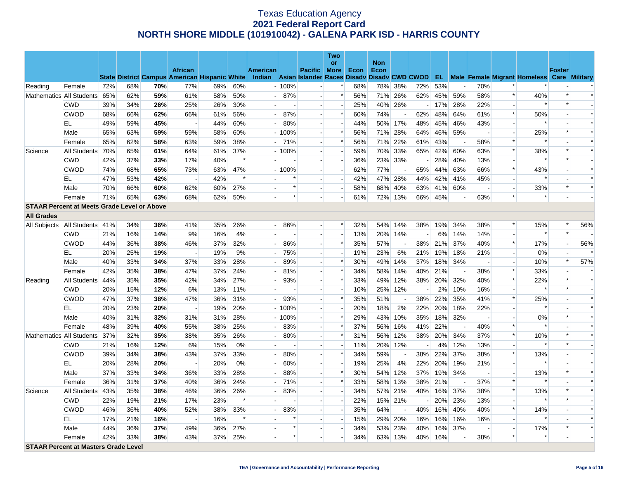|                                                    |                              |     |     |     |                                                      |     |        |                                                    |             |                          | Two                      |      |                    |     |     |     |     |                          |                          |                                                      |                |        |
|----------------------------------------------------|------------------------------|-----|-----|-----|------------------------------------------------------|-----|--------|----------------------------------------------------|-------------|--------------------------|--------------------------|------|--------------------|-----|-----|-----|-----|--------------------------|--------------------------|------------------------------------------------------|----------------|--------|
|                                                    |                              |     |     |     | <b>African</b>                                       |     |        | <b>American</b>                                    |             | Pacific More             | or                       | Econ | <b>Non</b><br>Econ |     |     |     |     |                          |                          |                                                      | <b>Foster</b>  |        |
|                                                    |                              |     |     |     | <b>State District Campus American Hispanic White</b> |     |        | Indian Asian Islander Races Disady Disady CWD CWOD |             |                          |                          |      |                    |     |     |     |     |                          |                          | <b>EL</b> Male Female Migrant Homeless Care Military |                |        |
| Reading                                            | Female                       | 72% | 68% | 70% | 77%                                                  | 69% | 60%    |                                                    | $-100%$     |                          | $\ast$                   | 68%  | 78%                | 38% | 72% | 53% |     | 70%                      | $\ast$                   |                                                      |                |        |
|                                                    | Mathematics All Students     | 65% | 62% | 59% | 61%                                                  | 58% | 50%    |                                                    | 87%         | $\overline{\phantom{a}}$ | $\ast$                   | 56%  | 71%                | 26% | 62% | 45% | 59% | 58%                      | $\ast$                   | 40%                                                  | $\ast$         | $\ast$ |
|                                                    | <b>CWD</b>                   | 39% | 34% | 26% | 25%                                                  | 26% | 30%    |                                                    |             |                          |                          | 25%  | 40%                | 26% |     | 17% | 28% | 22%                      |                          | $\ast$                                               | $\ast$         |        |
|                                                    | <b>CWOD</b>                  | 68% | 66% | 62% | 66%                                                  | 61% | 56%    |                                                    | 87%         |                          | $\ast$                   | 60%  | 74%                |     | 62% | 48% | 64% | 61%                      | $\ast$                   | 50%                                                  |                | $\ast$ |
|                                                    | EL                           | 49% | 59% | 45% | $\overline{\phantom{a}}$                             | 44% | 60%    |                                                    | 80%         |                          |                          | 44%  | 50%                | 17% | 48% | 45% | 46% | 43%                      |                          | $\ast$                                               |                | $\ast$ |
|                                                    | Male                         | 65% | 63% | 59% | 59%                                                  | 58% | 60%    |                                                    | $-100%$     | $\overline{a}$           | $\ast$                   | 56%  | 71%                | 28% | 64% | 46% | 59% | $\overline{\phantom{a}}$ | $\sim$                   | 25%                                                  |                | $\ast$ |
|                                                    | Female                       | 65% | 62% | 58% | 63%                                                  | 59% | 38%    |                                                    | $-171%$     |                          | $\ast$                   | 56%  | 71%                | 22% | 61% | 43% |     | 58%                      | $\ast$                   | $\ast$                                               |                | $\ast$ |
| Science                                            | All Students                 | 70% | 65% | 61% | 64%                                                  | 61% | 37%    |                                                    | $-100%$     |                          |                          | 59%  | 70%                | 33% | 65% | 42% | 60% | 63%                      | $\ast$                   | 38%                                                  |                | $\ast$ |
|                                                    | <b>CWD</b>                   | 42% | 37% | 33% | 17%                                                  | 40% | $\ast$ | u.                                                 |             | $\overline{\phantom{a}}$ |                          | 36%  | 23%                | 33% |     | 28% | 40% | 13%                      | $\overline{a}$           | $\ast$                                               |                |        |
|                                                    | <b>CWOD</b>                  | 74% | 68% | 65% | 73%                                                  | 63% | 47%    |                                                    | $-100%$     | $\overline{a}$           | $\overline{\phantom{a}}$ | 62%  | 77%                |     | 65% | 44% | 63% | 66%                      | $\ast$                   | 43%                                                  |                | $\ast$ |
|                                                    | EL                           | 47% | 53% | 42% | $\sim$                                               | 42% | $\ast$ |                                                    | $\ast$      |                          | $\overline{a}$           | 42%  | 47%                | 28% | 44% | 42% | 41% | 45%                      | $\overline{a}$           | $\ast$                                               |                | $\ast$ |
|                                                    | Male                         | 70% | 66% | 60% | 62%                                                  | 60% | 27%    |                                                    | $\ast$      |                          |                          | 58%  | 68%                | 40% | 63% | 41% | 60% |                          | $\overline{a}$           | 33%                                                  | $\ast$         | $\ast$ |
|                                                    | Female                       | 71% | 65% | 63% | 68%                                                  | 62% | 50%    |                                                    | $\ast$      | $\overline{\phantom{a}}$ |                          | 61%  | 72%                | 13% | 66% | 45% |     | 63%                      | $\ast$                   | $\ast$                                               |                |        |
| <b>STAAR Percent at Meets Grade Level or Above</b> |                              |     |     |     |                                                      |     |        |                                                    |             |                          |                          |      |                    |     |     |     |     |                          |                          |                                                      |                |        |
| <b>All Grades</b>                                  |                              |     |     |     |                                                      |     |        |                                                    |             |                          |                          |      |                    |     |     |     |     |                          |                          |                                                      |                |        |
| All Subjects                                       | All Students 41%             |     | 34% | 36% | 41%                                                  | 35% | 26%    |                                                    | 86%<br>$-1$ |                          | $\ast$                   | 32%  | 54%                | 14% | 38% | 19% | 34% | 38%                      | $\ast$                   | 15%                                                  |                | 56%    |
|                                                    | CWD                          | 21% | 16% | 14% | 9%                                                   | 16% | 4%     |                                                    |             |                          | $\overline{a}$           | 13%  | 20%                | 14% |     | 6%  | 14% | 14%                      | $\blacksquare$           | $\ast$                                               | $\ast$         |        |
|                                                    | <b>CWOD</b>                  | 44% | 36% | 38% | 46%                                                  | 37% | 32%    |                                                    | 86%         | $\overline{\phantom{a}}$ | $\ast$                   | 35%  | 57%                |     | 38% | 21% | 37% | 40%                      | $\ast$                   | 17%                                                  | $\overline{a}$ | 56%    |
|                                                    | EL                           | 20% | 25% | 19% | $\overline{\phantom{a}}$                             | 19% | 9%     |                                                    | 75%         | $\overline{\phantom{a}}$ |                          | 19%  | 23%                | 6%  | 21% | 19% | 18% | 21%                      |                          | $0\%$                                                |                |        |
|                                                    | Male                         | 40% | 33% | 34% | 37%                                                  | 33% | 28%    |                                                    | 89%         |                          | $\ast$                   | 30%  | 49%                | 14% | 37% | 18% | 34% |                          | $\overline{\phantom{a}}$ | 10%                                                  | $\ast$         | 57%    |
|                                                    | Female                       | 42% | 35% | 38% | 47%                                                  | 37% | 24%    |                                                    | 81%         | $\overline{a}$           | $\ast$                   | 34%  | 58%                | 14% | 40% | 21% |     | 38%                      | $\ast$                   | 33%                                                  |                |        |
| Reading                                            | All Students 44%             |     | 35% | 35% | 42%                                                  | 34% | 27%    |                                                    | 93%         | $\mathbf{u}^{(1)}$       | $\ast$                   | 33%  | 49%                | 12% | 38% | 20% | 32% | 40%                      | $\ast$                   | 22%                                                  | $\ast$         | $\ast$ |
|                                                    | <b>CWD</b>                   | 20% | 15% | 12% | 6%                                                   | 13% | 11%    |                                                    |             |                          |                          | 10%  | 25%                | 12% |     | 2%  | 10% | 16%                      |                          | $\ast$                                               |                |        |
|                                                    | <b>CWOD</b>                  | 47% | 37% | 38% | 47%                                                  | 36% | 31%    |                                                    | 93%         | $\overline{\phantom{a}}$ | $\ast$                   | 35%  | 51%                |     | 38% | 22% | 35% | 41%                      | $\ast$                   | 25%                                                  |                | $\ast$ |
|                                                    | EL                           | 20% | 23% | 20% | $\overline{\phantom{a}}$                             | 19% | 20%    |                                                    | $-100%$     | $\overline{a}$           |                          | 20%  | 18%                | 2%  | 22% | 20% | 18% | 22%                      |                          | $\ast$                                               |                | $\ast$ |
|                                                    | Male                         | 40% | 31% | 32% | 31%                                                  | 31% | 28%    |                                                    | $-100%$     | $\overline{a}$           | $\ast$                   | 29%  | 43%                | 10% | 35% | 18% | 32% | $\overline{\phantom{a}}$ | $\overline{a}$           | 0%                                                   | $\ast$         | $\ast$ |
|                                                    | Female                       | 48% | 39% | 40% | 55%                                                  | 38% | 25%    |                                                    | 83%         |                          | $\ast$                   | 37%  | 56%                | 16% | 41% | 22% |     | 40%                      | $\ast$                   | $\ast$                                               |                | $\ast$ |
|                                                    | Mathematics All Students 37% |     | 32% | 35% | 38%                                                  | 35% | 26%    |                                                    | 80%         | $\overline{a}$           | $\ast$                   | 31%  | 56%                | 12% | 38% | 20% | 34% | 37%                      | $\ast$                   | 10%                                                  | $\ast$         | $\ast$ |
|                                                    | <b>CWD</b>                   | 21% | 16% | 12% | 6%                                                   | 15% | 0%     |                                                    |             |                          |                          | 11%  | 20%                | 12% |     | 4%  | 12% | 13%                      |                          | $\ast$                                               | $\ast$         |        |
|                                                    | <b>CWOD</b>                  | 39% | 34% | 38% | 43%                                                  | 37% | 33%    |                                                    | 80%         | $\overline{a}$           | *                        | 34%  | 59%                |     | 38% | 22% | 37% | 38%                      | $\ast$                   | 13%                                                  |                | $\ast$ |
|                                                    | EL                           | 20% | 28% | 20% | $\overline{\phantom{a}}$                             | 20% | 0%     |                                                    | 60%         |                          |                          | 19%  | 25%                | 4%  | 22% | 20% | 19% | 21%                      |                          | $\ast$                                               |                | $\ast$ |
|                                                    | Male                         | 37% | 33% | 34% | 36%                                                  | 33% | 28%    |                                                    | 88%         | $\overline{a}$           | $\ast$                   | 30%  | 54%                | 12% | 37% | 19% | 34% | $\overline{a}$           | $\sim$                   | 13%                                                  | $\ast$         | $\ast$ |
|                                                    | Female                       | 36% | 31% | 37% | 40%                                                  | 36% | 24%    |                                                    | 71%         |                          | $\ast$                   | 33%  | 58%                | 13% | 38% | 21% |     | 37%                      | $\ast$                   | $\ast$                                               |                | $\ast$ |
| Science                                            | All Students 43%             |     | 35% | 38% | 46%                                                  | 36% | 26%    |                                                    | 83%         |                          |                          | 34%  | 57%                | 21% | 40% | 16% | 37% | 38%                      | $\ast$                   | 13%                                                  | $\ast$         | $\ast$ |
|                                                    | <b>CWD</b>                   | 22% | 19% | 21% | 17%                                                  | 23% | $\ast$ | $\overline{a}$                                     |             | $\overline{\phantom{a}}$ | $\overline{\phantom{a}}$ | 22%  | 15%                | 21% |     | 20% | 23% | 13%                      | $\overline{a}$           | $\ast$                                               | $\ast$         |        |
|                                                    | <b>CWOD</b>                  | 46% | 36% | 40% | 52%                                                  | 38% | 33%    |                                                    | 83%         |                          |                          | 35%  | 64%                |     | 40% | 16% | 40% | 40%                      | $\ast$                   | 14%                                                  |                | $\ast$ |
|                                                    | EL                           | 17% | 21% | 16% | $\sim$                                               | 16% | $\ast$ |                                                    | $\ast$      |                          | $\overline{\phantom{a}}$ | 15%  | 29%                | 20% | 16% | 16% | 16% | 16%                      | $\overline{a}$           | $\ast$                                               |                | $\ast$ |
|                                                    | Male                         | 44% | 36% | 37% | 49%                                                  | 36% | 27%    |                                                    | $\ast$      |                          |                          | 34%  | 53%                | 23% | 40% | 16% | 37% |                          | $\sim$                   | 17%                                                  |                |        |
|                                                    | Female                       | 42% | 33% | 38% | 43%                                                  | 37% | 25%    |                                                    | $\ast$      |                          |                          | 34%  | 63%                | 13% | 40% | 16% |     | 38%                      | $\ast$                   | $\ast$                                               |                |        |
| <b>STAAR Percent at Masters Grade Level</b>        |                              |     |     |     |                                                      |     |        |                                                    |             |                          |                          |      |                    |     |     |     |     |                          |                          |                                                      |                |        |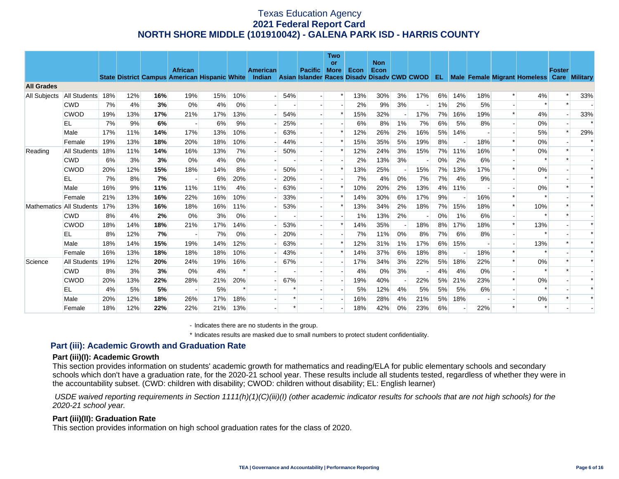|                          |              |     |     |     |                                                                        |     |     |                                                                       |        |                | <b>Two</b><br><b>or</b> |      | <b>Non</b> |    |     |       |     |     |        |                                                      |               |        |
|--------------------------|--------------|-----|-----|-----|------------------------------------------------------------------------|-----|-----|-----------------------------------------------------------------------|--------|----------------|-------------------------|------|------------|----|-----|-------|-----|-----|--------|------------------------------------------------------|---------------|--------|
|                          |              |     |     |     | <b>African</b><br><b>State District Campus American Hispanic White</b> |     |     | <b>American</b><br>Indian Asian Islander Races Disady Disady CWD CWOD |        | <b>Pacific</b> | <b>More</b>             | Econ | Econ       |    |     |       |     |     |        | <b>EL</b> Male Female Migrant Homeless Care Military | <b>Foster</b> |        |
| <b>All Grades</b>        |              |     |     |     |                                                                        |     |     |                                                                       |        |                |                         |      |            |    |     |       |     |     |        |                                                      |               |        |
| <b>All Subjects</b>      | All Students | 18% | 12% | 16% | 19%                                                                    | 15% | 10% |                                                                       | 54%    |                |                         | 13%  | 30%        | 3% | 17% | 6%    | 14% | 18% |        | 4%                                                   |               | 33%    |
|                          | <b>CWD</b>   | 7%  | 4%  | 3%  | 0%                                                                     | 4%  | 0%  |                                                                       |        |                |                         | 2%   | 9%         | 3% |     | $1\%$ | 2%  | 5%  |        | $\ast$                                               |               |        |
|                          | <b>CWOD</b>  | 19% | 13% | 17% | 21%                                                                    | 17% | 13% |                                                                       | 54%    |                | $\ast$                  | 15%  | 32%        |    | 17% | 7%    | 16% | 19% | $\ast$ | 4%                                                   |               | 33%    |
|                          | ΕL           | 7%  | 9%  | 6%  |                                                                        | 6%  | 9%  |                                                                       | 25%    |                |                         | 6%   | 8%         | 1% | 7%  | 6%    | 5%  | 8%  |        | 0%                                                   |               | $\ast$ |
|                          | Male         | 17% | 11% | 14% | 17%                                                                    | 13% | 10% |                                                                       | 63%    |                | $\ast$                  | 12%  | 26%        | 2% | 16% | 5%    | 14% |     |        | 5%                                                   |               | 29%    |
|                          | Female       | 19% | 13% | 18% | 20%                                                                    | 18% | 10% |                                                                       | 44%    |                |                         | 15%  | 35%        | 5% | 19% | 8%    |     | 18% |        | 0%                                                   |               |        |
| Reading                  | All Students | 18% | 11% | 14% | 16%                                                                    | 13% | 7%  |                                                                       | 50%    |                | $\ast$                  | 12%  | 24%        | 3% | 15% | 7%    | 11% | 16% |        | 0%                                                   |               |        |
|                          | <b>CWD</b>   | 6%  | 3%  | 3%  | 0%                                                                     | 4%  | 0%  |                                                                       |        |                |                         | 2%   | 13%        | 3% |     | 0%    | 2%  | 6%  |        | $\ast$                                               |               |        |
|                          | <b>CWOD</b>  | 20% | 12% | 15% | 18%                                                                    | 14% | 8%  |                                                                       | 50%    |                | $\ast$                  | 13%  | 25%        |    | 15% | 7%    | 13% | 17% |        | 0%                                                   |               |        |
|                          | EL           | 7%  | 8%  | 7%  | $\overline{\phantom{a}}$                                               | 6%  | 20% |                                                                       | 20%    |                |                         | 7%   | 4%         | 0% | 7%  | 7%    | 4%  | 9%  |        | $\ast$                                               |               |        |
|                          | Male         | 16% | 9%  | 11% | 11%                                                                    | 11% | 4%  |                                                                       | 63%    |                |                         | 10%  | 20%        | 2% | 13% | 4%    | 11% |     |        | 0%                                                   |               |        |
|                          | Female       | 21% | 13% | 16% | 22%                                                                    | 16% | 10% |                                                                       | 33%    |                |                         | 14%  | 30%        | 6% | 17% | 9%    |     | 16% |        |                                                      |               |        |
| Mathematics All Students |              | 17% | 13% | 16% | 18%                                                                    | 16% | 11% |                                                                       | 53%    |                | $\ast$                  | 13%  | 34%        | 2% | 18% | 7%    | 15% | 18% | $\ast$ | 10%                                                  |               |        |
|                          | <b>CWD</b>   | 8%  | 4%  | 2%  | 0%                                                                     | 3%  | 0%  |                                                                       |        |                |                         | 1%   | 13%        | 2% |     | 0%    | 1%  | 6%  |        |                                                      |               |        |
|                          | <b>CWOD</b>  | 18% | 14% | 18% | 21%                                                                    | 17% | 14% |                                                                       | 53%    |                | $\ast$                  | 14%  | 35%        |    | 18% | 8%    | 17% | 18% |        | 13%                                                  |               |        |
|                          | <b>EL</b>    | 8%  | 12% | 7%  | $\overline{\phantom{a}}$                                               | 7%  | 0%  |                                                                       | 20%    |                |                         | 7%   | 11%        | 0% | 8%  | 7%    | 6%  | 8%  |        | $\star$                                              |               |        |
|                          | Male         | 18% | 14% | 15% | 19%                                                                    | 14% | 12% |                                                                       | 63%    |                |                         | 12%  | 31%        | 1% | 17% | 6%    | 15% |     |        | 13%                                                  |               |        |
|                          | Female       | 16% | 13% | 18% | 18%                                                                    | 18% | 10% |                                                                       | 43%    |                | $\ast$                  | 14%  | 37%        | 6% | 18% | 8%    |     | 18% | $\ast$ | $\ast$                                               |               |        |
| Science                  | All Students | 19% | 12% | 20% | 24%                                                                    | 19% | 16% |                                                                       | 67%    |                |                         | 17%  | 34%        | 3% | 22% | 5%    | 18% | 22% | $\ast$ | 0%                                                   |               |        |
|                          | <b>CWD</b>   | 8%  | 3%  | 3%  | 0%                                                                     | 4%  |     |                                                                       |        |                |                         | 4%   | 0%         | 3% |     | 4%    | 4%  | 0%  |        | $\ast$                                               |               |        |
|                          | <b>CWOD</b>  | 20% | 13% | 22% | 28%                                                                    | 21% | 20% |                                                                       | 67%    |                |                         | 19%  | 40%        |    | 22% | 5%    | 21% | 23% |        | $0\%$                                                |               |        |
|                          | EL           | 4%  | 5%  | 5%  | $\overline{\phantom{a}}$                                               | 5%  |     |                                                                       |        |                |                         | 5%   | 12%        | 4% | 5%  | 5%    | 5%  | 6%  |        | $\ast$                                               |               |        |
|                          | Male         | 20% | 12% | 18% | 26%                                                                    | 17% | 18% |                                                                       |        |                |                         | 16%  | 28%        | 4% | 21% | 5%    | 18% |     |        | 0%                                                   |               |        |
|                          | Female       | 18% | 12% | 22% | 22%                                                                    | 21% | 13% |                                                                       | $\ast$ |                |                         | 18%  | 42%        | 0% | 23% | 6%    |     | 22% |        | $\ast$                                               |               |        |

- Indicates there are no students in the group.

\* Indicates results are masked due to small numbers to protect student confidentiality.

### **Part (iii): Academic Growth and Graduation Rate**

#### **Part (iii)(I): Academic Growth**

This section provides information on students' academic growth for mathematics and reading/ELA for public elementary schools and secondary schools which don't have a graduation rate, for the 2020-21 school year. These results include all students tested, regardless of whether they were in the accountability subset. (CWD: children with disability; CWOD: children without disability; EL: English learner)

 *USDE waived reporting requirements in Section 1111(h)(1)(C)(iii)(I) (other academic indicator results for schools that are not high schools) for the 2020-21 school year.* 

### **Part (iii)(II): Graduation Rate**

This section provides information on high school graduation rates for the class of 2020.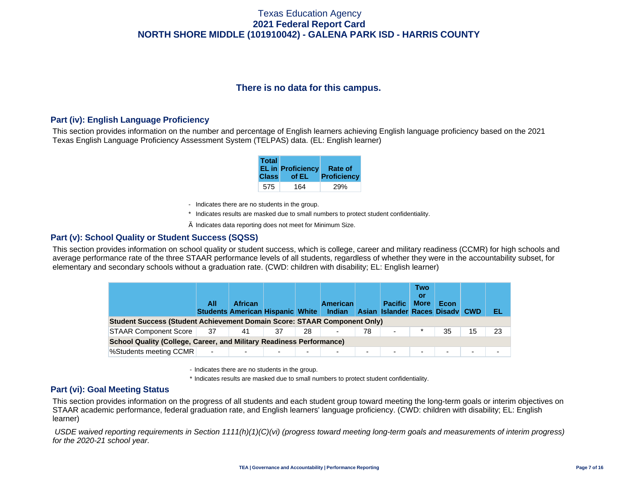# **There is no data for this campus.**

## **Part (iv): English Language Proficiency**

This section provides information on the number and percentage of English learners achieving English language proficiency based on the 2021 Texas English Language Proficiency Assessment System (TELPAS) data. (EL: English learner)

| <b>Total</b> | <b>EL in Proficiency</b> | Rate of            |
|--------------|--------------------------|--------------------|
| <b>Class</b> | of EL                    | <b>Proficiency</b> |
| 575          | 164                      |                    |

- Indicates there are no students in the group.
- \* Indicates results are masked due to small numbers to protect student confidentiality.
- $\diamond$  Indicates data reporting does not meet for Minimum Size.

### **Part (v): School Quality or Student Success (SQSS)**

This section provides information on school quality or student success, which is college, career and military readiness (CCMR) for high schools and average performance rate of the three STAAR performance levels of all students, regardless of whether they were in the accountability subset, for elementary and secondary schools without a graduation rate. (CWD: children with disability; EL: English learner)

|                                                                                 | All                      | <b>African</b><br><b>Students American Hispanic White Indian</b> |    |    | <b>American</b> |    | <b>Pacific</b><br>Asian Islander Races Disady CWD | <b>Two</b><br>Οľ<br><b>More</b> | Econ                     |    | EL. |  |  |
|---------------------------------------------------------------------------------|--------------------------|------------------------------------------------------------------|----|----|-----------------|----|---------------------------------------------------|---------------------------------|--------------------------|----|-----|--|--|
| <b>Student Success (Student Achievement Domain Score: STAAR Component Only)</b> |                          |                                                                  |    |    |                 |    |                                                   |                                 |                          |    |     |  |  |
| <b>STAAR Component Score</b>                                                    | 37                       | 41                                                               | 37 | 28 | -               | 78 | $\overline{\phantom{a}}$                          |                                 | 35                       | 15 |     |  |  |
| <b>School Quality (College, Career, and Military Readiness Performance)</b>     |                          |                                                                  |    |    |                 |    |                                                   |                                 |                          |    |     |  |  |
| %Students meeting CCMR                                                          | $\overline{\phantom{a}}$ |                                                                  |    | ۰. | -               | -  | $\overline{\phantom{a}}$                          |                                 | $\overline{\phantom{0}}$ | ۰. |     |  |  |

- Indicates there are no students in the group.
- \* Indicates results are masked due to small numbers to protect student confidentiality.

### **Part (vi): Goal Meeting Status**

This section provides information on the progress of all students and each student group toward meeting the long-term goals or interim objectives on STAAR academic performance, federal graduation rate, and English learners' language proficiency. (CWD: children with disability; EL: English learner)

 *USDE waived reporting requirements in Section 1111(h)(1)(C)(vi) (progress toward meeting long-term goals and measurements of interim progress) for the 2020-21 school year.*